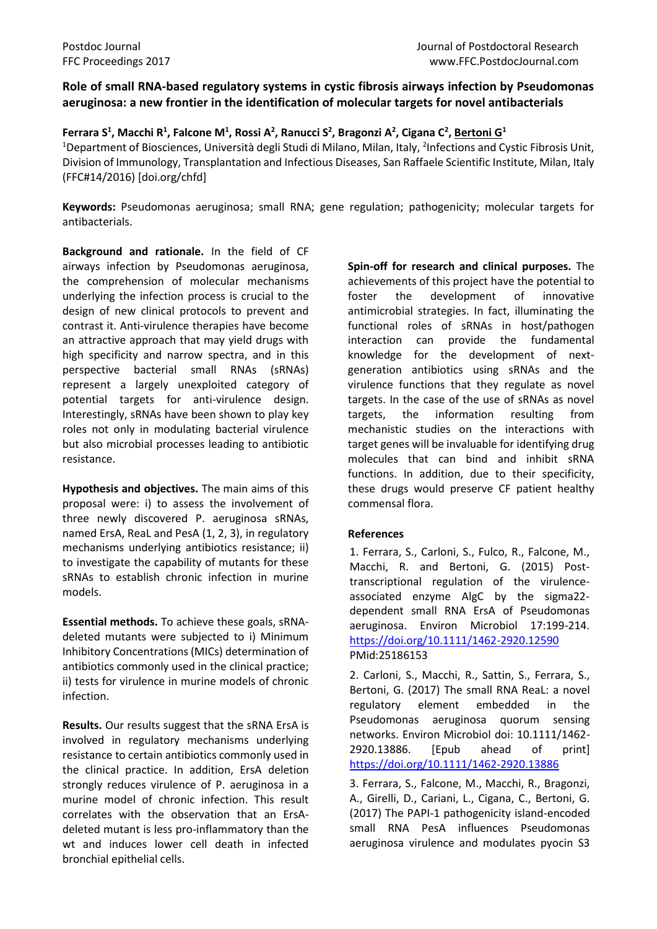## **Role of small RNA-based regulatory systems in cystic fibrosis airways infection by Pseudomonas aeruginosa: a new frontier in the identification of molecular targets for novel antibacterials**

**Ferrara S<sup>1</sup> , Macchi R<sup>1</sup> , Falcone M<sup>1</sup> , Rossi A<sup>2</sup> , Ranucci S<sup>2</sup> , Bragonzi A<sup>2</sup> , Cigana C<sup>2</sup> , Bertoni G<sup>1</sup>** <sup>1</sup>Department of Biosciences, Università degli Studi di Milano, Milan, Italy, <sup>2</sup>Infections and Cystic Fibrosis Unit, Division of Immunology, Transplantation and Infectious Diseases, San Raffaele Scientific Institute, Milan, Italy (FFC#14/2016) [doi.org/chfd]

**Keywords:** Pseudomonas aeruginosa; small RNA; gene regulation; pathogenicity; molecular targets for antibacterials.

**Background and rationale.** In the field of CF airways infection by Pseudomonas aeruginosa, the comprehension of molecular mechanisms underlying the infection process is crucial to the design of new clinical protocols to prevent and contrast it. Anti-virulence therapies have become an attractive approach that may yield drugs with high specificity and narrow spectra, and in this perspective bacterial small RNAs (sRNAs) represent a largely unexploited category of potential targets for anti-virulence design. Interestingly, sRNAs have been shown to play key roles not only in modulating bacterial virulence but also microbial processes leading to antibiotic resistance.

**Hypothesis and objectives.** The main aims of this proposal were: i) to assess the involvement of three newly discovered P. aeruginosa sRNAs, named ErsA, ReaL and PesA (1, 2, 3), in regulatory mechanisms underlying antibiotics resistance; ii) to investigate the capability of mutants for these sRNAs to establish chronic infection in murine models.

**Essential methods.** To achieve these goals, sRNAdeleted mutants were subjected to i) Minimum Inhibitory Concentrations (MICs) determination of antibiotics commonly used in the clinical practice; ii) tests for virulence in murine models of chronic infection.

**Results.** Our results suggest that the sRNA ErsA is involved in regulatory mechanisms underlying resistance to certain antibiotics commonly used in the clinical practice. In addition, ErsA deletion strongly reduces virulence of P. aeruginosa in a murine model of chronic infection. This result correlates with the observation that an ErsAdeleted mutant is less pro-inflammatory than the wt and induces lower cell death in infected bronchial epithelial cells.

**Spin-off for research and clinical purposes.** The achievements of this project have the potential to foster the development of innovative antimicrobial strategies. In fact, illuminating the functional roles of sRNAs in host/pathogen interaction can provide the fundamental knowledge for the development of nextgeneration antibiotics using sRNAs and the virulence functions that they regulate as novel targets. In the case of the use of sRNAs as novel targets, the information resulting from mechanistic studies on the interactions with target genes will be invaluable for identifying drug molecules that can bind and inhibit sRNA functions. In addition, due to their specificity, these drugs would preserve CF patient healthy commensal flora.

## **References**

1. Ferrara, S., Carloni, S., Fulco, R., Falcone, M., Macchi, R. and Bertoni, G. (2015) Posttranscriptional regulation of the virulenceassociated enzyme AlgC by the sigma22 dependent small RNA ErsA of Pseudomonas aeruginosa. Environ Microbiol 17:199-214. <https://doi.org/10.1111/1462-2920.12590> PMid:25186153

2. Carloni, S., Macchi, R., Sattin, S., Ferrara, S., Bertoni, G. (2017) The small RNA ReaL: a novel regulatory element embedded in the Pseudomonas aeruginosa quorum sensing networks. Environ Microbiol doi: 10.1111/1462- 2920.13886. [Epub ahead of print] <https://doi.org/10.1111/1462-2920.13886>

3. Ferrara, S., Falcone, M., Macchi, R., Bragonzi, A., Girelli, D., Cariani, L., Cigana, C., Bertoni, G. (2017) The PAPI-1 pathogenicity island-encoded small RNA PesA influences Pseudomonas aeruginosa virulence and modulates pyocin S3